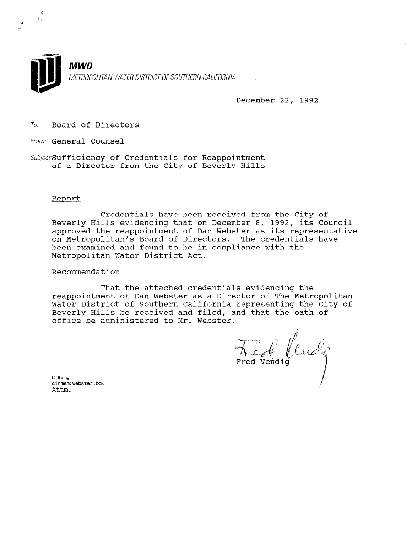

December 22, 1992

To: Board of Directors

From: General Counsel

Subject:Sufficiency of Credentials for Reappointment of a Director from the City of Beverly Hills

#### Report

Credentials have been received from the City of Beverly Hills evidencing that on December 8, 1992, its Council approved the reappointment of Dan Webster as its representative on Metropolitan's Board of Directors. The credentials have been examined and found to be in compliance with the Metropolitan Water District Act.

### Recommendation

That the attached credentials evidencing the reappointment of Dan Webster as a Director of The Metropolitan Water District of Southern California representing the City of Beverly Hills be received and filed, and that the oath of office be administered to Mr. Webster.

The fluck

CIR:mg cirmem:web<br>cirmem:web<br>^ttm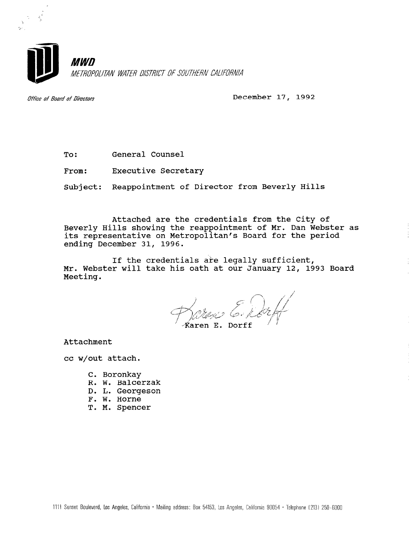

Office of Board of Directors **December 17, 1992** 

To: General Counsel

From: Executive Secretary

Subject: Reappointment of Director from Beverly Hills

Attached are the credentials from the City of Beverly Hills showing the reappointment of Mr. Dan Webster as its representative on Metropolitan's Board for the period ending December 31, 1996.

If the credentials are legally sufficient, Mr. Webster will take his oath at our January 12, 1993 Board Meeting.

.<br>Karen E. Dorff

Attachment

cc w/out attach.

- C. Boronkay
- R. W. Balcerzak
- D. L. Georgeson
- F. W. Horne
- T. M. Spencer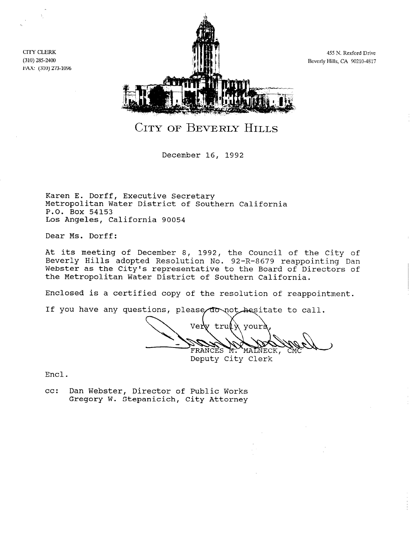CITY CLERK (310) 285-2400 FAX: (310) 273-1096



455 N. Rexford Drive Beverly Hills, CA 90210-4817

CITY OF BEVERLY HILLS

December 16, 1992

Karen E. Dorff, Executive Secretary Metropolitan Water District of Southern California P.O. Box 54153 Los Angeles, California 90054

Dear Ms. Dorff:

At its meeting of December 8, 1992, the Council of the City of Beverly Hills adopted Resolution No. 92-R-8679 reappointing Dan Webster as the City's representative to the Board of Directors of the Metropolitan Water District of Southern California.

Enclosed is a certified copy of the resolution of reappointment.

If you have any questions, please do not hesitate to call.

Very truly your? FRANCES M. MALNECK,<br>Deputy City Clerk

Encl.

cc: Dan Webster, Director of Public Works Dan Webster, Director of Public Wol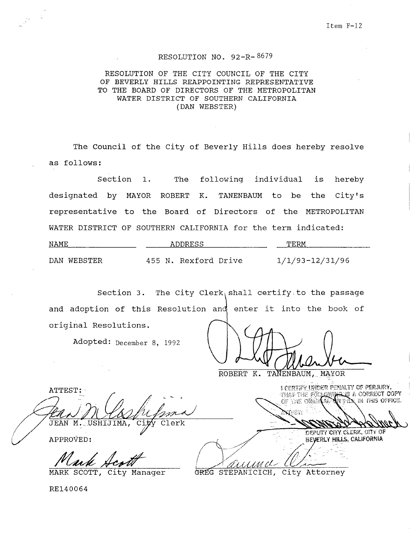## RESOLUTION NO. 92-R-8679

## RESOLUTION OF THE CITY COUNCIL OF THE CITY OF BEVERLY HILLS REAPPOINTING REPRESENTATIVE TO THE BOARD OF DIRECTORS OF THE METROPOLITAN WATER DISTRICT OF SOUTHERN CALIFORNIA (DAN WEBSTER)

The Council of the City of Beverly Hills does hereby resolve as follows:

Section 1. The following individual is hereby designated by MAYOR ROBERT K. TANENBAUM to be the City's representative to the Board of Directors of the METROPOLITAN WATER DISTRICT OF SOUTHERN CALIFORNIA for the term indicated:

| NAME        | ADDRESS              | TERM            |
|-------------|----------------------|-----------------|
| DAN WEBSTER | 455 N. Rexford Drive | 1/1/93-12/31/96 |

Section 3. The City Clerk shall certify to the passage and adoption of this Resolution ۳ļ and onter  $i$ <sup>+</sup>  $i$ nto the book of original Resolutions.

Adopted: December 8, 1992

ROBERT K. TANENBAUM, MAYOR

ATTEST:

JEAN M. USHIJIMA,  $\overline{\text{Clerk}}$ Cit

PPROVED:<br>Mark

I CERTIFY INDER PENALTY OF PERJURY, **TERRIT DELER FERRET OF FERDALISTIC**<br>THAP THE FOLLOWING IS A CORRECT COPY

DEPUTY CITY CLERK, CITY OF BEVERLY HILLS, CALIFORNIA

MARK SCOTT, City Manager GREG STEPANICICH, City Attorney

RE140064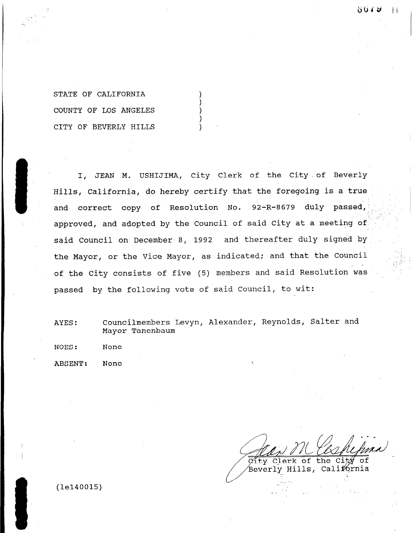STATE OF CALIFORNIA COUNTY OF LOS ANGELES CITY OF BEVERLY HILLS

I, JEAN M. USHIJIMA, City Clerk of the City.of Beverly Hills, California, do hereby certify that the foregoing is a true and correct copy of Resolution No. 92-R-8679 duly passed, approved, and adopted by the Council of said City at a meeting of said Council on December 8, 1992 and thereafter duly signed by the Mayor, or the Vice Mayor, as indicated; and that the Council of the City consists of five (5) members and said Resolution was passed by the following vote of said Council, to wit:

AYES: Councilmembers Levyn, Alexander, Reynolds, Salter and Councilmembers

おびてみ

 $\perp$ 

City Clerk റി the Beverly Hills, Calif6rnia

 $(1e140015)$ 

I